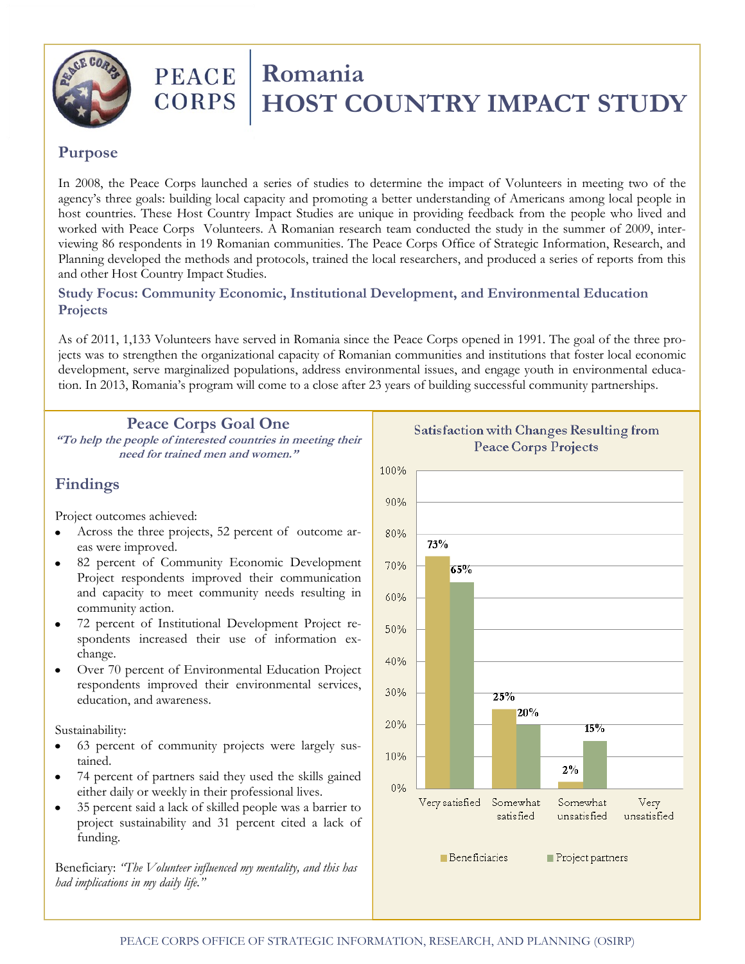

# **PEACE** | Romania<br>CORPS | HOST CO  **HOST COUNTRY IMPACT STUDY**

#### **Purpose**

In 2008, the Peace Corps launched a series of studies to determine the impact of Volunteers in meeting two of the agency's three goals: building local capacity and promoting a better understanding of Americans among local people in host countries. These Host Country Impact Studies are unique in providing feedback from the people who lived and worked with Peace Corps Volunteers. A Romanian research team conducted the study in the summer of 2009, interviewing 86 respondents in 19 Romanian communities. The Peace Corps Office of Strategic Information, Research, and Planning developed the methods and protocols, trained the local researchers, and produced a series of reports from this and other Host Country Impact Studies.

#### **Study Focus: Community Economic, Institutional Development, and Environmental Education Projects**

As of 2011, 1,133 Volunteers have served in Romania since the Peace Corps opened in 1991. The goal of the three projects was to strengthen the organizational capacity of Romanian communities and institutions that foster local economic development, serve marginalized populations, address environmental issues, and engage youth in environmental education. In 2013, Romania's program will come to a close after 23 years of building successful community partnerships.

#### **Peace Corps Goal One**

**"To help the people of interested countries in meeting their need for trained men and women."**

## **Findings**

Project outcomes achieved:

- Across the three projects, 52 percent of outcome ar- $\bullet$ eas were improved.
- 82 percent of Community Economic Development  $\bullet$ Project respondents improved their communication and capacity to meet community needs resulting in community action.
- $\bullet$ 72 percent of Institutional Development Project respondents increased their use of information exchange.
- Over 70 percent of Environmental Education Project  $\bullet$ respondents improved their environmental services, education, and awareness.

#### Sustainability:

- 63 percent of community projects were largely sus- $\bullet$ tained.
- 74 percent of partners said they used the skills gained  $\bullet$ either daily or weekly in their professional lives.
- 35 percent said a lack of skilled people was a barrier to  $\bullet$ project sustainability and 31 percent cited a lack of funding.

Beneficiary: *"The Volunteer influenced my mentality, and this has had implications in my daily life."*